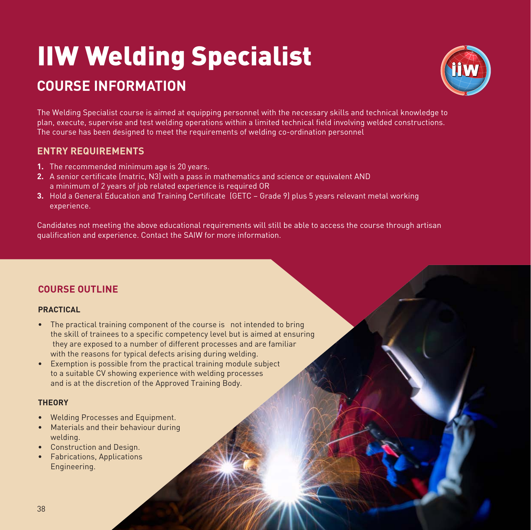# IIW Welding Specialist

### **COURSE INFORMATION**



The Welding Specialist course is aimed at equipping personnel with the necessary skills and technical knowledge to plan, execute, supervise and test welding operations within a limited technical field involving welded constructions. The course has been designed to meet the requirements of welding co-ordination personnel

#### **ENTRY REQUIREMENTS**

- **1.** The recommended minimum age is 20 years.
- **2.** A senior certificate (matric, N3) with a pass in mathematics and science or equivalent AND a minimum of 2 years of job related experience is required OR
- **3.** Hold a General Education and Training Certificate (GETC Grade 9) plus 5 years relevant metal working experience.

Candidates not meeting the above educational requirements will still be able to access the course through artisan qualification and experience. Contact the SAIW for more information.

#### **COURSE OUTLINE**

#### **PRACTICAL**

- The practical training component of the course is not intended to bring the skill of trainees to a specific competency level but is aimed at ensuring they are exposed to a number of different processes and are familiar with the reasons for typical defects arising during welding.
- Exemption is possible from the practical training module subject to a suitable CV showing experience with welding processes and is at the discretion of the Approved Training Body.

#### **THEORY**

- Welding Processes and Equipment.
- Materials and their behaviour during welding.
- Construction and Design.
- Fabrications, Applications Engineering.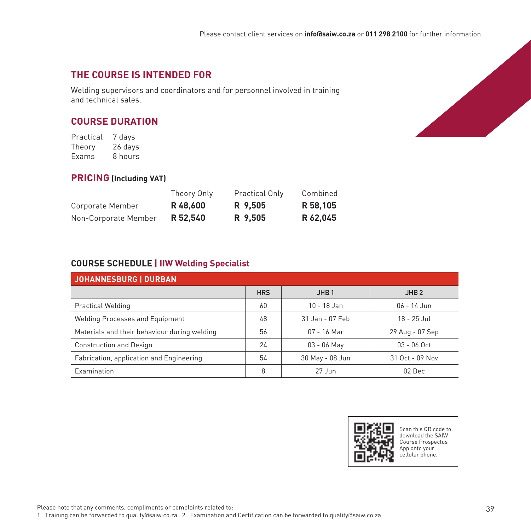#### **THE COURSE IS INTENDED FOR**

Welding supervisors and coordinators and for personnel involved in training and technical sales.

#### **COURSE DURATION**

Practical 7 days<br>Theory 26 days Theory Exams 8 hours

#### **PRICING (Including VAT)**

|                      | Theory Only | Practical Only | Combined |
|----------------------|-------------|----------------|----------|
| Corporate Member     | R 48.600    | R 9.505        | R 58.105 |
| Non-Corporate Member | R 52.540    | R 9,505        | R 62.045 |

#### **COURSE SCHEDULE | IIW Welding Specialist**

| JOHANNESBURG   DURBAN                        |            |                  |                  |  |  |  |
|----------------------------------------------|------------|------------------|------------------|--|--|--|
|                                              | <b>HRS</b> | JHB <sub>1</sub> | JHB <sub>2</sub> |  |  |  |
| <b>Practical Welding</b>                     | 60         | $10 - 18$ Jan    | $06 - 14$ Jun    |  |  |  |
| <b>Welding Processes and Equipment</b>       | 48         | 31 Jan - 07 Feb  | 18 - 25 Jul      |  |  |  |
| Materials and their behaviour during welding | 56         | $07 - 16$ Mar    | 29 Aug - 07 Sep  |  |  |  |
| <b>Construction and Design</b>               | 24         | $03 - 06$ May    | $03 - 06$ Oct    |  |  |  |
| Fabrication, application and Engineering     | 54         | 30 May - 08 Jun  | 31 Oct - 09 Nov  |  |  |  |
| Examination                                  | 8          | $27$ Jun         | 02 Dec           |  |  |  |



Scan this QR code to download the SAIW Course Prospectus App onto your cellular phone.

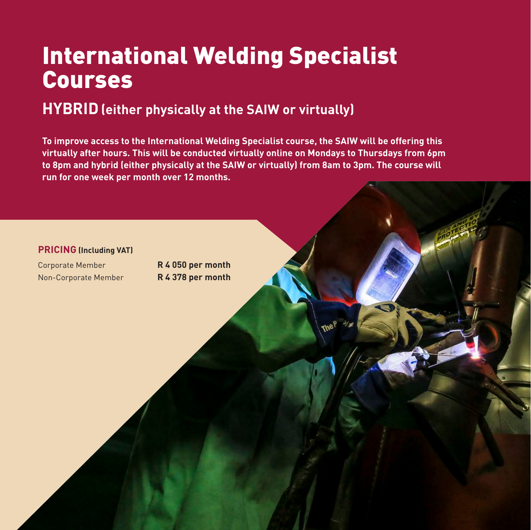## International Welding Specialist Courses

## **HYBRID(either physically at the SAIW or virtually)**

**To improve access to the International Welding Specialist course, the SAIW will be offering this virtually after hours. This will be conducted virtually online on Mondays to Thursdays from 6pm to 8pm and hybrid (either physically at the SAIW or virtually) from 8am to 3pm. The course will run for one week per month over 12 months.**